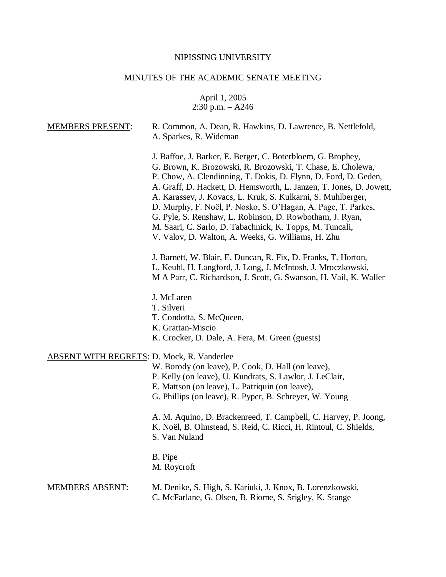# NIPISSING UNIVERSITY

# MINUTES OF THE ACADEMIC SENATE MEETING

April 1, 2005 2:30 p.m. – A246

| <b>MEMBERS PRESENT:</b>                           | R. Common, A. Dean, R. Hawkins, D. Lawrence, B. Nettlefold,<br>A. Sparkes, R. Wideman                                                                                                                                                                                                                                                                                                                                                                                                                                                                                               |
|---------------------------------------------------|-------------------------------------------------------------------------------------------------------------------------------------------------------------------------------------------------------------------------------------------------------------------------------------------------------------------------------------------------------------------------------------------------------------------------------------------------------------------------------------------------------------------------------------------------------------------------------------|
|                                                   | J. Baffoe, J. Barker, E. Berger, C. Boterbloem, G. Brophey,<br>G. Brown, K. Brozowski, R. Brozowski, T. Chase, E. Cholewa,<br>P. Chow, A. Clendinning, T. Dokis, D. Flynn, D. Ford, D. Geden,<br>A. Graff, D. Hackett, D. Hemsworth, L. Janzen, T. Jones, D. Jowett,<br>A. Karassev, J. Kovacs, L. Kruk, S. Kulkarni, S. Muhlberger,<br>D. Murphy, F. Noël, P. Nosko, S. O'Hagan, A. Page, T. Parkes,<br>G. Pyle, S. Renshaw, L. Robinson, D. Rowbotham, J. Ryan,<br>M. Saari, C. Sarlo, D. Tabachnick, K. Topps, M. Tuncali,<br>V. Valov, D. Walton, A. Weeks, G. Williams, H. Zhu |
|                                                   | J. Barnett, W. Blair, E. Duncan, R. Fix, D. Franks, T. Horton,<br>L. Keuhl, H. Langford, J. Long, J. McIntosh, J. Mroczkowski,<br>M A Parr, C. Richardson, J. Scott, G. Swanson, H. Vail, K. Waller                                                                                                                                                                                                                                                                                                                                                                                 |
|                                                   | J. McLaren<br>T. Silveri<br>T. Condotta, S. McQueen,<br>K. Grattan-Miscio<br>K. Crocker, D. Dale, A. Fera, M. Green (guests)                                                                                                                                                                                                                                                                                                                                                                                                                                                        |
| <b>ABSENT WITH REGRETS: D. Mock, R. Vanderlee</b> | W. Borody (on leave), P. Cook, D. Hall (on leave),<br>P. Kelly (on leave), U. Kundrats, S. Lawlor, J. LeClair,<br>E. Mattson (on leave), L. Patriquin (on leave),<br>G. Phillips (on leave), R. Pyper, B. Schreyer, W. Young                                                                                                                                                                                                                                                                                                                                                        |
|                                                   | A. M. Aquino, D. Brackenreed, T. Campbell, C. Harvey, P. Joong,<br>K. Noël, B. Olmstead, S. Reid, C. Ricci, H. Rintoul, C. Shields,<br>S. Van Nuland                                                                                                                                                                                                                                                                                                                                                                                                                                |
|                                                   | B. Pipe<br>M. Roycroft                                                                                                                                                                                                                                                                                                                                                                                                                                                                                                                                                              |
| <b>MEMBERS ABSENT:</b>                            | M. Denike, S. High, S. Kariuki, J. Knox, B. Lorenzkowski,<br>C. McFarlane, G. Olsen, B. Riome, S. Srigley, K. Stange                                                                                                                                                                                                                                                                                                                                                                                                                                                                |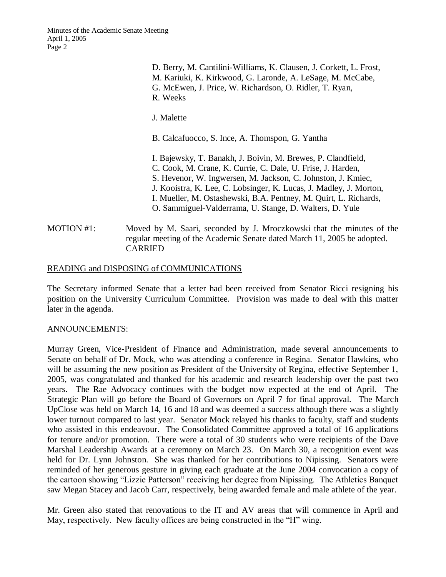> D. Berry, M. Cantilini-Williams, K. Clausen, J. Corkett, L. Frost, M. Kariuki, K. Kirkwood, G. Laronde, A. LeSage, M. McCabe, G. McEwen, J. Price, W. Richardson, O. Ridler, T. Ryan, R. Weeks

J. Malette

B. Calcafuocco, S. Ince, A. Thomspon, G. Yantha

I. Bajewsky, T. Banakh, J. Boivin, M. Brewes, P. Clandfield, C. Cook, M. Crane, K. Currie, C. Dale, U. Frise, J. Harden, S. Hevenor, W. Ingwersen, M. Jackson, C. Johnston, J. Kmiec, J. Kooistra, K. Lee, C. Lobsinger, K. Lucas, J. Madley, J. Morton, I. Mueller, M. Ostashewski, B.A. Pentney, M. Quirt, L. Richards, O. Sammiguel-Valderrama, U. Stange, D. Walters, D. Yule

MOTION #1: Moved by M. Saari, seconded by J. Mroczkowski that the minutes of the regular meeting of the Academic Senate dated March 11, 2005 be adopted. CARRIED

### READING and DISPOSING of COMMUNICATIONS

The Secretary informed Senate that a letter had been received from Senator Ricci resigning his position on the University Curriculum Committee. Provision was made to deal with this matter later in the agenda.

#### ANNOUNCEMENTS:

Murray Green, Vice-President of Finance and Administration, made several announcements to Senate on behalf of Dr. Mock, who was attending a conference in Regina. Senator Hawkins, who will be assuming the new position as President of the University of Regina, effective September 1, 2005, was congratulated and thanked for his academic and research leadership over the past two years. The Rae Advocacy continues with the budget now expected at the end of April. The Strategic Plan will go before the Board of Governors on April 7 for final approval. The March UpClose was held on March 14, 16 and 18 and was deemed a success although there was a slightly lower turnout compared to last year. Senator Mock relayed his thanks to faculty, staff and students who assisted in this endeavour. The Consolidated Committee approved a total of 16 applications for tenure and/or promotion. There were a total of 30 students who were recipients of the Dave Marshal Leadership Awards at a ceremony on March 23. On March 30, a recognition event was held for Dr. Lynn Johnston. She was thanked for her contributions to Nipissing. Senators were reminded of her generous gesture in giving each graduate at the June 2004 convocation a copy of the cartoon showing "Lizzie Patterson" receiving her degree from Nipissing. The Athletics Banquet saw Megan Stacey and Jacob Carr, respectively, being awarded female and male athlete of the year.

Mr. Green also stated that renovations to the IT and AV areas that will commence in April and May, respectively. New faculty offices are being constructed in the "H" wing.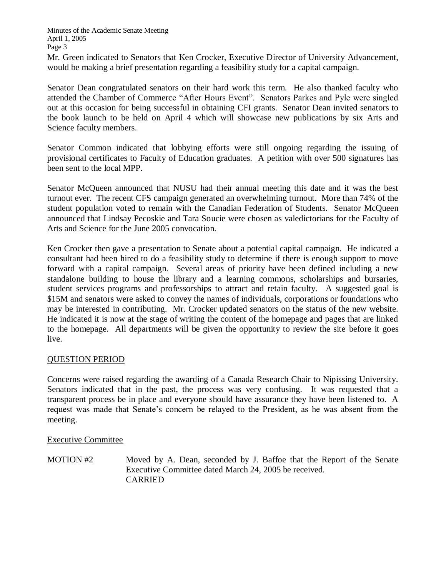Mr. Green indicated to Senators that Ken Crocker, Executive Director of University Advancement, would be making a brief presentation regarding a feasibility study for a capital campaign.

Senator Dean congratulated senators on their hard work this term. He also thanked faculty who attended the Chamber of Commerce "After Hours Event". Senators Parkes and Pyle were singled out at this occasion for being successful in obtaining CFI grants. Senator Dean invited senators to the book launch to be held on April 4 which will showcase new publications by six Arts and Science faculty members.

Senator Common indicated that lobbying efforts were still ongoing regarding the issuing of provisional certificates to Faculty of Education graduates. A petition with over 500 signatures has been sent to the local MPP.

Senator McQueen announced that NUSU had their annual meeting this date and it was the best turnout ever. The recent CFS campaign generated an overwhelming turnout. More than 74% of the student population voted to remain with the Canadian Federation of Students. Senator McQueen announced that Lindsay Pecoskie and Tara Soucie were chosen as valedictorians for the Faculty of Arts and Science for the June 2005 convocation.

Ken Crocker then gave a presentation to Senate about a potential capital campaign. He indicated a consultant had been hired to do a feasibility study to determine if there is enough support to move forward with a capital campaign. Several areas of priority have been defined including a new standalone building to house the library and a learning commons, scholarships and bursaries, student services programs and professorships to attract and retain faculty. A suggested goal is \$15M and senators were asked to convey the names of individuals, corporations or foundations who may be interested in contributing. Mr. Crocker updated senators on the status of the new website. He indicated it is now at the stage of writing the content of the homepage and pages that are linked to the homepage. All departments will be given the opportunity to review the site before it goes live.

## QUESTION PERIOD

Concerns were raised regarding the awarding of a Canada Research Chair to Nipissing University. Senators indicated that in the past, the process was very confusing. It was requested that a transparent process be in place and everyone should have assurance they have been listened to. A request was made that Senate's concern be relayed to the President, as he was absent from the meeting.

Executive Committee

MOTION #2 Moved by A. Dean, seconded by J. Baffoe that the Report of the Senate Executive Committee dated March 24, 2005 be received. CARRIED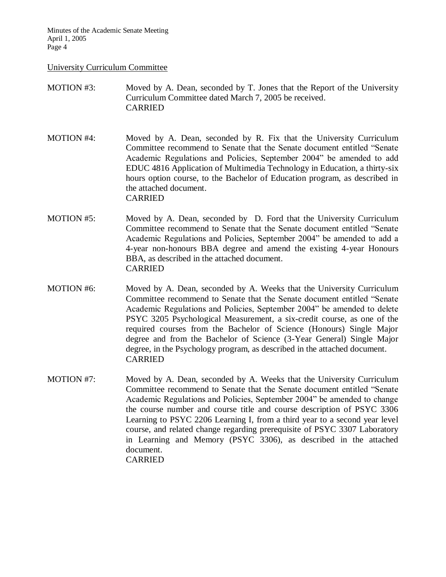### University Curriculum Committee

## MOTION #3: Moved by A. Dean, seconded by T. Jones that the Report of the University Curriculum Committee dated March 7, 2005 be received. CARRIED

- MOTION #4: Moved by A. Dean, seconded by R. Fix that the University Curriculum Committee recommend to Senate that the Senate document entitled "Senate Academic Regulations and Policies, September 2004" be amended to add EDUC 4816 Application of Multimedia Technology in Education, a thirty-six hours option course, to the Bachelor of Education program, as described in the attached document. CARRIED
- MOTION #5: Moved by A. Dean, seconded by D. Ford that the University Curriculum Committee recommend to Senate that the Senate document entitled "Senate Academic Regulations and Policies, September 2004" be amended to add a 4-year non-honours BBA degree and amend the existing 4-year Honours BBA, as described in the attached document. CARRIED
- MOTION #6: Moved by A. Dean, seconded by A. Weeks that the University Curriculum Committee recommend to Senate that the Senate document entitled "Senate Academic Regulations and Policies, September 2004" be amended to delete PSYC 3205 Psychological Measurement, a six-credit course, as one of the required courses from the Bachelor of Science (Honours) Single Major degree and from the Bachelor of Science (3-Year General) Single Major degree, in the Psychology program, as described in the attached document. CARRIED
- MOTION #7: Moved by A. Dean, seconded by A. Weeks that the University Curriculum Committee recommend to Senate that the Senate document entitled "Senate Academic Regulations and Policies, September 2004" be amended to change the course number and course title and course description of PSYC 3306 Learning to PSYC 2206 Learning I, from a third year to a second year level course, and related change regarding prerequisite of PSYC 3307 Laboratory in Learning and Memory (PSYC 3306), as described in the attached document. CARRIED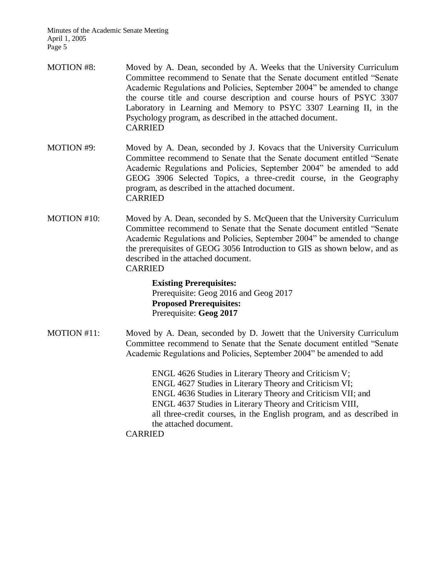- MOTION #8: Moved by A. Dean, seconded by A. Weeks that the University Curriculum Committee recommend to Senate that the Senate document entitled "Senate Academic Regulations and Policies, September 2004" be amended to change the course title and course description and course hours of PSYC 3307 Laboratory in Learning and Memory to PSYC 3307 Learning II, in the Psychology program, as described in the attached document. CARRIED
- MOTION #9: Moved by A. Dean, seconded by J. Kovacs that the University Curriculum Committee recommend to Senate that the Senate document entitled "Senate Academic Regulations and Policies, September 2004" be amended to add GEOG 3906 Selected Topics, a three-credit course, in the Geography program, as described in the attached document. CARRIED
- MOTION #10: Moved by A. Dean, seconded by S. McQueen that the University Curriculum Committee recommend to Senate that the Senate document entitled "Senate Academic Regulations and Policies, September 2004" be amended to change the prerequisites of GEOG 3056 Introduction to GIS as shown below, and as described in the attached document. CARRIED

**Existing Prerequisites:** Prerequisite: Geog 2016 and Geog 2017 **Proposed Prerequisites:** Prerequisite: **Geog 2017**

MOTION #11: Moved by A. Dean, seconded by D. Jowett that the University Curriculum Committee recommend to Senate that the Senate document entitled "Senate Academic Regulations and Policies, September 2004" be amended to add

> ENGL 4626 Studies in Literary Theory and Criticism V; ENGL 4627 Studies in Literary Theory and Criticism VI; ENGL 4636 Studies in Literary Theory and Criticism VII; and ENGL 4637 Studies in Literary Theory and Criticism VIII, all three-credit courses, in the English program, and as described in the attached document.

CARRIED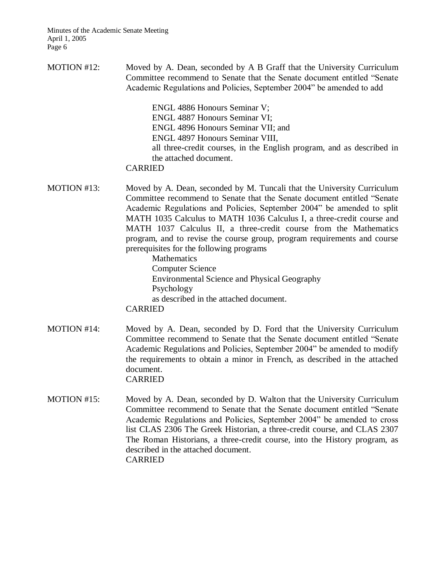MOTION #12: Moved by A. Dean, seconded by A B Graff that the University Curriculum Committee recommend to Senate that the Senate document entitled "Senate Academic Regulations and Policies, September 2004" be amended to add

> ENGL 4886 Honours Seminar V; ENGL 4887 Honours Seminar VI; ENGL 4896 Honours Seminar VII; and ENGL 4897 Honours Seminar VIII, all three-credit courses, in the English program, and as described in the attached document.

### CARRIED

MOTION #13: Moved by A. Dean, seconded by M. Tuncali that the University Curriculum Committee recommend to Senate that the Senate document entitled "Senate Academic Regulations and Policies, September 2004" be amended to split MATH 1035 Calculus to MATH 1036 Calculus I, a three-credit course and MATH 1037 Calculus II, a three-credit course from the Mathematics program, and to revise the course group, program requirements and course prerequisites for the following programs

> Mathematics Computer Science Environmental Science and Physical Geography Psychology as described in the attached document. CARRIED

- MOTION #14: Moved by A. Dean, seconded by D. Ford that the University Curriculum Committee recommend to Senate that the Senate document entitled "Senate Academic Regulations and Policies, September 2004" be amended to modify the requirements to obtain a minor in French, as described in the attached document. CARRIED
- MOTION #15: Moved by A. Dean, seconded by D. Walton that the University Curriculum Committee recommend to Senate that the Senate document entitled "Senate Academic Regulations and Policies, September 2004" be amended to cross list CLAS 2306 The Greek Historian, a three-credit course, and CLAS 2307 The Roman Historians, a three-credit course, into the History program, as described in the attached document. CARRIED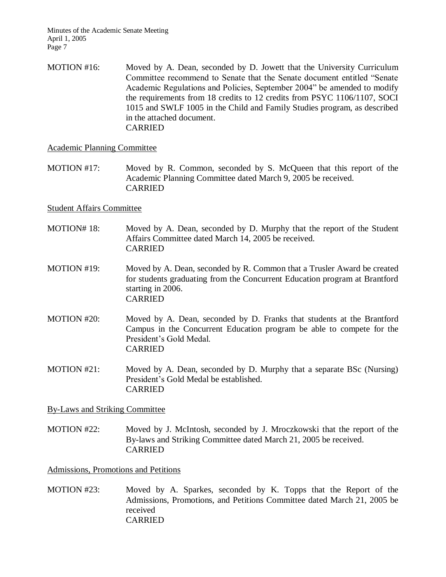MOTION #16: Moved by A. Dean, seconded by D. Jowett that the University Curriculum Committee recommend to Senate that the Senate document entitled "Senate Academic Regulations and Policies, September 2004" be amended to modify the requirements from 18 credits to 12 credits from PSYC 1106/1107, SOCI 1015 and SWLF 1005 in the Child and Family Studies program, as described in the attached document. CARRIED

## Academic Planning Committee

MOTION #17: Moved by R. Common, seconded by S. McQueen that this report of the Academic Planning Committee dated March 9, 2005 be received. CARRIED

## Student Affairs Committee

- MOTION# 18: Moved by A. Dean, seconded by D. Murphy that the report of the Student Affairs Committee dated March 14, 2005 be received. CARRIED
- MOTION #19: Moved by A. Dean, seconded by R. Common that a Trusler Award be created for students graduating from the Concurrent Education program at Brantford starting in 2006. CARRIED
- MOTION #20: Moved by A. Dean, seconded by D. Franks that students at the Brantford Campus in the Concurrent Education program be able to compete for the President's Gold Medal. CARRIED
- MOTION #21: Moved by A. Dean, seconded by D. Murphy that a separate BSc (Nursing) President's Gold Medal be established. CARRIED

By-Laws and Striking Committee

MOTION #22: Moved by J. McIntosh, seconded by J. Mroczkowski that the report of the By-laws and Striking Committee dated March 21, 2005 be received. CARRIED

## Admissions, Promotions and Petitions

MOTION #23: Moved by A. Sparkes, seconded by K. Topps that the Report of the Admissions, Promotions, and Petitions Committee dated March 21, 2005 be received CARRIED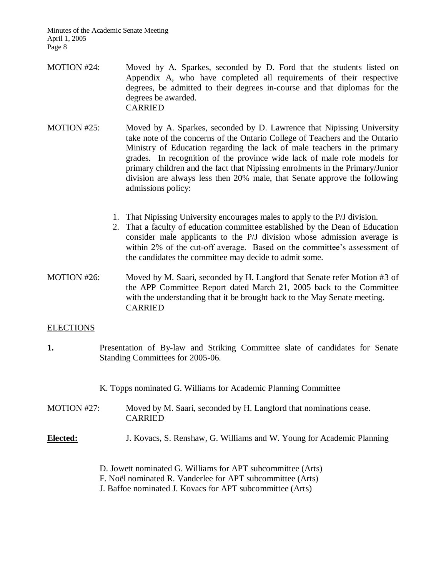- MOTION #24: Moved by A. Sparkes, seconded by D. Ford that the students listed on Appendix A, who have completed all requirements of their respective degrees, be admitted to their degrees in-course and that diplomas for the degrees be awarded. CARRIED
- MOTION #25: Moved by A. Sparkes, seconded by D. Lawrence that Nipissing University take note of the concerns of the Ontario College of Teachers and the Ontario Ministry of Education regarding the lack of male teachers in the primary grades. In recognition of the province wide lack of male role models for primary children and the fact that Nipissing enrolments in the Primary/Junior division are always less then 20% male, that Senate approve the following admissions policy:
	- 1. That Nipissing University encourages males to apply to the P/J division.
	- 2. That a faculty of education committee established by the Dean of Education consider male applicants to the P/J division whose admission average is within 2% of the cut-off average. Based on the committee's assessment of the candidates the committee may decide to admit some.
- MOTION #26: Moved by M. Saari, seconded by H. Langford that Senate refer Motion #3 of the APP Committee Report dated March 21, 2005 back to the Committee with the understanding that it be brought back to the May Senate meeting. CARRIED

#### ELECTIONS

**1.** Presentation of By-law and Striking Committee slate of candidates for Senate Standing Committees for 2005-06.

K. Topps nominated G. Williams for Academic Planning Committee

- MOTION #27: Moved by M. Saari, seconded by H. Langford that nominations cease. CARRIED
- **Elected:** J. Kovacs, S. Renshaw, G. Williams and W. Young for Academic Planning
	- D. Jowett nominated G. Williams for APT subcommittee (Arts)
	- F. Noël nominated R. Vanderlee for APT subcommittee (Arts)
	- J. Baffoe nominated J. Kovacs for APT subcommittee (Arts)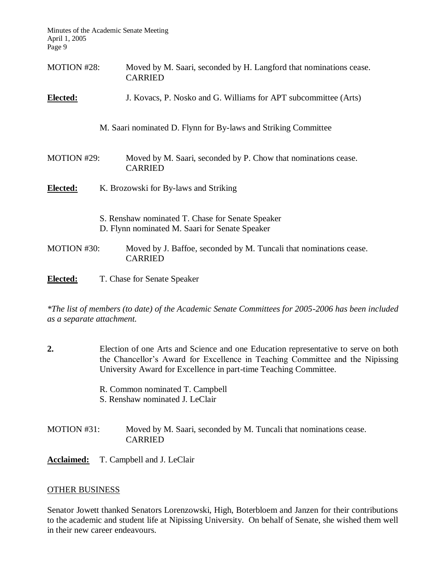| <b>MOTION #28:</b> | Moved by M. Saari, seconded by H. Langford that nominations cease.<br><b>CARRIED</b>               |  |
|--------------------|----------------------------------------------------------------------------------------------------|--|
| Elected:           | J. Kovacs, P. Nosko and G. Williams for APT subcommittee (Arts)                                    |  |
|                    | M. Saari nominated D. Flynn for By-laws and Striking Committee                                     |  |
| MOTION #29:        | Moved by M. Saari, seconded by P. Chow that nominations cease.<br><b>CARRIED</b>                   |  |
| <b>Elected:</b>    | K. Brozowski for By-laws and Striking                                                              |  |
|                    | S. Renshaw nominated T. Chase for Senate Speaker<br>D. Flynn nominated M. Saari for Senate Speaker |  |
| MOTION #30:        | Moved by J. Baffoe, seconded by M. Tuncali that nominations cease.<br><b>CARRIED</b>               |  |
| Elected:           | T. Chase for Senate Speaker                                                                        |  |

*\*The list of members (to date) of the Academic Senate Committees for 2005-2006 has been included as a separate attachment.*

- **2.** Election of one Arts and Science and one Education representative to serve on both the Chancellor's Award for Excellence in Teaching Committee and the Nipissing University Award for Excellence in part-time Teaching Committee.
	- R. Common nominated T. Campbell
	- S. Renshaw nominated J. LeClair
- MOTION #31: Moved by M. Saari, seconded by M. Tuncali that nominations cease. CARRIED
- **Acclaimed:** T. Campbell and J. LeClair

# OTHER BUSINESS

Senator Jowett thanked Senators Lorenzowski, High, Boterbloem and Janzen for their contributions to the academic and student life at Nipissing University. On behalf of Senate, she wished them well in their new career endeavours.